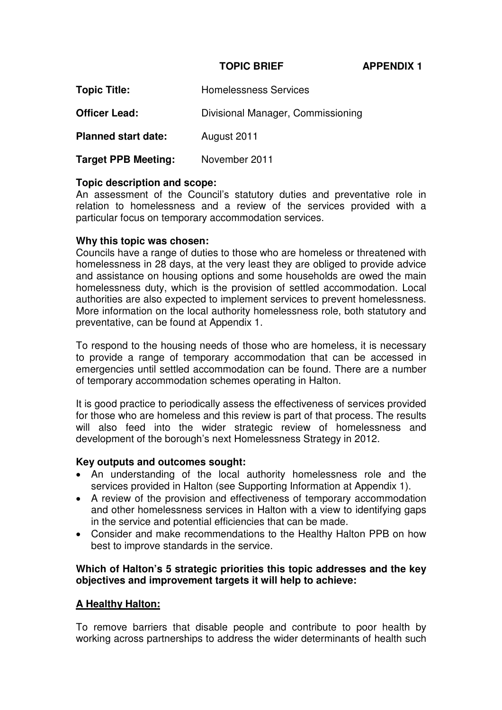#### **TOPIC BRIEF APPENDIX 1**

| <b>Topic Title:</b>        | <b>Homelessness Services</b>      |
|----------------------------|-----------------------------------|
| <b>Officer Lead:</b>       | Divisional Manager, Commissioning |
| <b>Planned start date:</b> | August 2011                       |

**Target PPB Meeting:** November 2011

## **Topic description and scope:**

An assessment of the Council's statutory duties and preventative role in relation to homelessness and a review of the services provided with a particular focus on temporary accommodation services.

## **Why this topic was chosen:**

Councils have a range of duties to those who are homeless or threatened with homelessness in 28 days, at the very least they are obliged to provide advice and assistance on housing options and some households are owed the main homelessness duty, which is the provision of settled accommodation. Local authorities are also expected to implement services to prevent homelessness. More information on the local authority homelessness role, both statutory and preventative, can be found at Appendix 1.

To respond to the housing needs of those who are homeless, it is necessary to provide a range of temporary accommodation that can be accessed in emergencies until settled accommodation can be found. There are a number of temporary accommodation schemes operating in Halton.

It is good practice to periodically assess the effectiveness of services provided for those who are homeless and this review is part of that process. The results will also feed into the wider strategic review of homelessness and development of the borough's next Homelessness Strategy in 2012.

### **Key outputs and outcomes sought:**

- An understanding of the local authority homelessness role and the services provided in Halton (see Supporting Information at Appendix 1).
- A review of the provision and effectiveness of temporary accommodation and other homelessness services in Halton with a view to identifying gaps in the service and potential efficiencies that can be made.
- Consider and make recommendations to the Healthy Halton PPB on how best to improve standards in the service.

## **Which of Halton's 5 strategic priorities this topic addresses and the key objectives and improvement targets it will help to achieve:**

# **A Healthy Halton:**

To remove barriers that disable people and contribute to poor health by working across partnerships to address the wider determinants of health such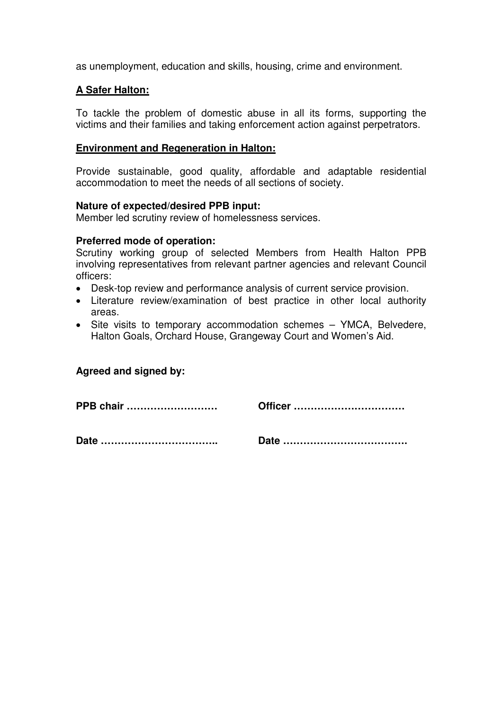as unemployment, education and skills, housing, crime and environment.

#### **A Safer Halton:**

To tackle the problem of domestic abuse in all its forms, supporting the victims and their families and taking enforcement action against perpetrators.

#### **Environment and Regeneration in Halton:**

Provide sustainable, good quality, affordable and adaptable residential accommodation to meet the needs of all sections of society.

#### **Nature of expected/desired PPB input:**

Member led scrutiny review of homelessness services.

#### **Preferred mode of operation:**

Scrutiny working group of selected Members from Health Halton PPB involving representatives from relevant partner agencies and relevant Council officers:

- Desk-top review and performance analysis of current service provision.
- Literature review/examination of best practice in other local authority areas.
- Site visits to temporary accommodation schemes YMCA, Belvedere, Halton Goals, Orchard House, Grangeway Court and Women's Aid.

### **Agreed and signed by:**

**PPB chair ……………………… Officer …………………………… Date …………………………….. Date ……………………………….**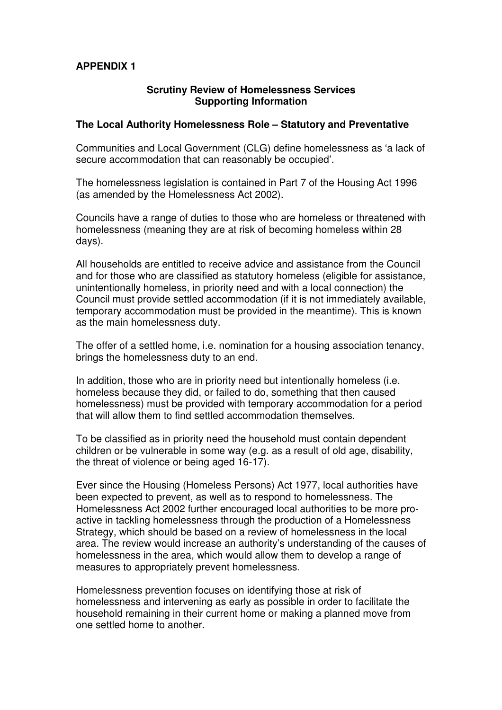## **APPENDIX 1**

#### **Scrutiny Review of Homelessness Services Supporting Information**

#### **The Local Authority Homelessness Role – Statutory and Preventative**

Communities and Local Government (CLG) define homelessness as 'a lack of secure accommodation that can reasonably be occupied'.

The homelessness legislation is contained in Part 7 of the Housing Act 1996 (as amended by the Homelessness Act 2002).

Councils have a range of duties to those who are homeless or threatened with homelessness (meaning they are at risk of becoming homeless within 28 days).

All households are entitled to receive advice and assistance from the Council and for those who are classified as statutory homeless (eligible for assistance, unintentionally homeless, in priority need and with a local connection) the Council must provide settled accommodation (if it is not immediately available, temporary accommodation must be provided in the meantime). This is known as the main homelessness duty.

The offer of a settled home, i.e. nomination for a housing association tenancy, brings the homelessness duty to an end.

In addition, those who are in priority need but intentionally homeless (i.e. homeless because they did, or failed to do, something that then caused homelessness) must be provided with temporary accommodation for a period that will allow them to find settled accommodation themselves.

To be classified as in priority need the household must contain dependent children or be vulnerable in some way (e.g. as a result of old age, disability, the threat of violence or being aged 16-17).

Ever since the Housing (Homeless Persons) Act 1977, local authorities have been expected to prevent, as well as to respond to homelessness. The Homelessness Act 2002 further encouraged local authorities to be more proactive in tackling homelessness through the production of a Homelessness Strategy, which should be based on a review of homelessness in the local area. The review would increase an authority's understanding of the causes of homelessness in the area, which would allow them to develop a range of measures to appropriately prevent homelessness.

Homelessness prevention focuses on identifying those at risk of homelessness and intervening as early as possible in order to facilitate the household remaining in their current home or making a planned move from one settled home to another.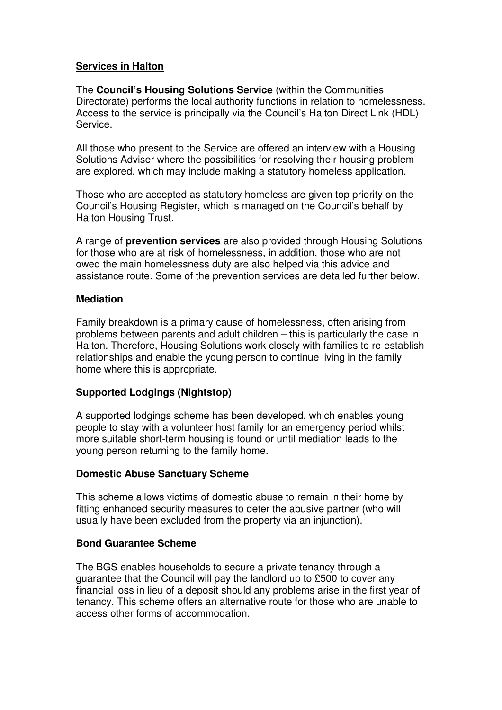## **Services in Halton**

The **Council's Housing Solutions Service** (within the Communities Directorate) performs the local authority functions in relation to homelessness. Access to the service is principally via the Council's Halton Direct Link (HDL) Service.

All those who present to the Service are offered an interview with a Housing Solutions Adviser where the possibilities for resolving their housing problem are explored, which may include making a statutory homeless application.

Those who are accepted as statutory homeless are given top priority on the Council's Housing Register, which is managed on the Council's behalf by Halton Housing Trust.

A range of **prevention services** are also provided through Housing Solutions for those who are at risk of homelessness, in addition, those who are not owed the main homelessness duty are also helped via this advice and assistance route. Some of the prevention services are detailed further below.

### **Mediation**

Family breakdown is a primary cause of homelessness, often arising from problems between parents and adult children – this is particularly the case in Halton. Therefore, Housing Solutions work closely with families to re-establish relationships and enable the young person to continue living in the family home where this is appropriate.

### **Supported Lodgings (Nightstop)**

A supported lodgings scheme has been developed, which enables young people to stay with a volunteer host family for an emergency period whilst more suitable short-term housing is found or until mediation leads to the young person returning to the family home.

### **Domestic Abuse Sanctuary Scheme**

This scheme allows victims of domestic abuse to remain in their home by fitting enhanced security measures to deter the abusive partner (who will usually have been excluded from the property via an injunction).

# **Bond Guarantee Scheme**

The BGS enables households to secure a private tenancy through a guarantee that the Council will pay the landlord up to £500 to cover any financial loss in lieu of a deposit should any problems arise in the first year of tenancy. This scheme offers an alternative route for those who are unable to access other forms of accommodation.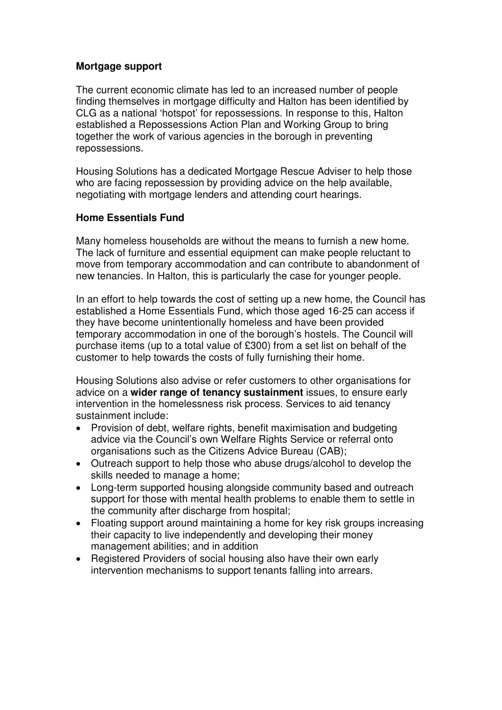### **Mortgage support**

The current economic climate has led to an increased number of people finding themselves in mortgage difficulty and Halton has been identified by CLG as a national 'hotspot' for repossessions. In response to this, Halton established a Repossessions Action Plan and Working Group to bring together the work of various agencies in the borough in preventing repossessions.

Housing Solutions has a dedicated Mortgage Rescue Adviser to help those who are facing repossession by providing advice on the help available, negotiating with mortgage lenders and attending court hearings.

# **Home Essentials Fund**

Many homeless households are without the means to furnish a new home. The lack of furniture and essential equipment can make people reluctant to move from temporary accommodation and can contribute to abandonment of new tenancies. In Halton, this is particularly the case for younger people.

In an effort to help towards the cost of setting up a new home, the Council has established a Home Essentials Fund, which those aged 16-25 can access if they have become unintentionally homeless and have been provided temporary accommodation in one of the borough's hostels. The Council will purchase items (up to a total value of £300) from a set list on behalf of the customer to help towards the costs of fully furnishing their home.

Housing Solutions also advise or refer customers to other organisations for advice on a **wider range of tenancy sustainment** issues, to ensure early intervention in the homelessness risk process. Services to aid tenancy sustainment include:

- Provision of debt, welfare rights, benefit maximisation and budgeting advice via the Council's own Welfare Rights Service or referral onto organisations such as the Citizens Advice Bureau (CAB);
- Outreach support to help those who abuse drugs/alcohol to develop the skills needed to manage a home;
- Long-term supported housing alongside community based and outreach support for those with mental health problems to enable them to settle in the community after discharge from hospital;
- Floating support around maintaining a home for key risk groups increasing their capacity to live independently and developing their money management abilities; and in addition
- Registered Providers of social housing also have their own early intervention mechanisms to support tenants falling into arrears.